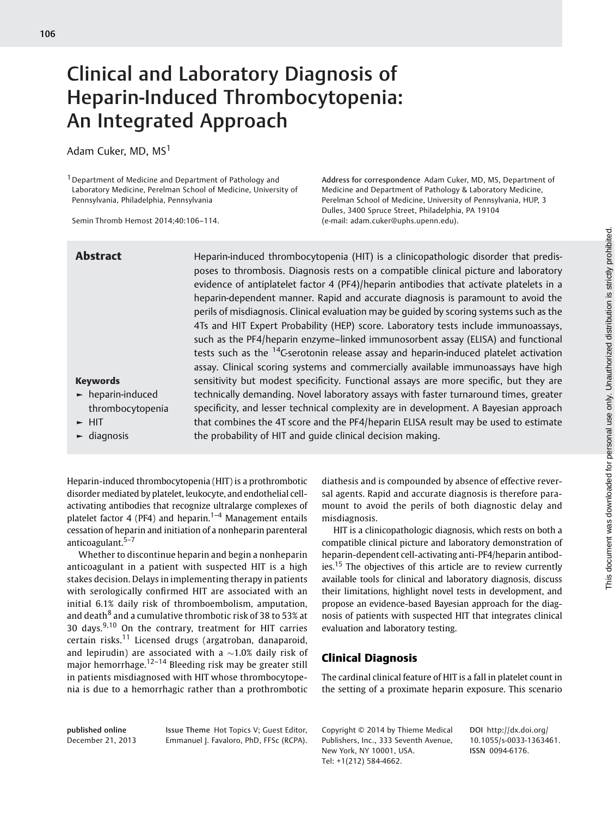# Clinical and Laboratory Diagnosis of Heparin-Induced Thrombocytopenia: An Integrated Approach

Adam Cuker, MD, MS<sup>1</sup>

<sup>1</sup> Department of Medicine and Department of Pathology and Laboratory Medicine, Perelman School of Medicine, University of Pennsylvania, Philadelphia, Pennsylvania

Semin Thromb Hemost 2014;40:106–114.

Address for correspondence Adam Cuker, MD, MS, Department of Medicine and Department of Pathology & Laboratory Medicine, Perelman School of Medicine, University of Pennsylvania, HUP, 3 Dulles, 3400 Spruce Street, Philadelphia, PA 19104 (e-mail: [adam.cuker@uphs.upenn.edu](mailto:adam.cuker@uphs.upenn.edu)).

Keywords

► HIT ► diagnosis

► heparin-induced thrombocytopenia

Abstract **Heparin-induced thrombocytopenia (HIT)** is a clinicopathologic disorder that predisposes to thrombosis. Diagnosis rests on a compatible clinical picture and laboratory evidence of antiplatelet factor 4 (PF4)/heparin antibodies that activate platelets in a heparin-dependent manner. Rapid and accurate diagnosis is paramount to avoid the perils of misdiagnosis. Clinical evaluation may be guided by scoring systems such as the 4Ts and HIT Expert Probability (HEP) score. Laboratory tests include immunoassays, such as the PF4/heparin enzyme–linked immunosorbent assay (ELISA) and functional tests such as the <sup>14</sup>C-serotonin release assay and heparin-induced platelet activation assay. Clinical scoring systems and commercially available immunoassays have high sensitivity but modest specificity. Functional assays are more specific, but they are technically demanding. Novel laboratory assays with faster turnaround times, greater specificity, and lesser technical complexity are in development. A Bayesian approach that combines the 4T score and the PF4/heparin ELISA result may be used to estimate the probability of HIT and guide clinical decision making.

Heparin-induced thrombocytopenia (HIT) is a prothrombotic disorder mediated by platelet, leukocyte, and endothelial cellactivating antibodies that recognize ultralarge complexes of platelet factor 4 (PF4) and heparin.<sup>1-4</sup> Management entails cessation of heparin and initiation of a nonheparin parenteral anticoagulant.<sup>5–7</sup>

Whether to discontinue heparin and begin a nonheparin anticoagulant in a patient with suspected HIT is a high stakes decision. Delays in implementing therapy in patients with serologically confirmed HIT are associated with an initial 6.1% daily risk of thromboembolism, amputation, and death $8$  and a cumulative thrombotic risk of 38 to 53% at 30 days. $9,10$  On the contrary, treatment for HIT carries certain risks.<sup>11</sup> Licensed drugs (argatroban, danaparoid, and lepirudin) are associated with a  $\sim$ 1.0% daily risk of major hemorrhage.<sup>12–14</sup> Bleeding risk may be greater still in patients misdiagnosed with HIT whose thrombocytopenia is due to a hemorrhagic rather than a prothrombotic diathesis and is compounded by absence of effective reversal agents. Rapid and accurate diagnosis is therefore paramount to avoid the perils of both diagnostic delay and misdiagnosis.

HIT is a clinicopathologic diagnosis, which rests on both a compatible clinical picture and laboratory demonstration of heparin-dependent cell-activating anti-PF4/heparin antibodies.<sup>15</sup> The objectives of this article are to review currently available tools for clinical and laboratory diagnosis, discuss their limitations, highlight novel tests in development, and propose an evidence-based Bayesian approach for the diagnosis of patients with suspected HIT that integrates clinical evaluation and laboratory testing.

# Clinical Diagnosis

The cardinal clinical feature of HIT is a fall in platelet count in the setting of a proximate heparin exposure. This scenario

ISSN 0094-6176.

published online December 21, 2013 Issue Theme Hot Topics V; Guest Editor, Emmanuel J. Favaloro, PhD, FFSc (RCPA).

Copyright © 2014 by Thieme Medical Publishers, Inc., 333 Seventh Avenue, New York, NY 10001, USA. Tel: +1(212) 584-4662.

DOI [http://dx.doi.org/](http://dx.doi.org/10.1055/s-0033-1363461) [10.1055/s-0033-1363461.](http://dx.doi.org/10.1055/s-0033-1363461)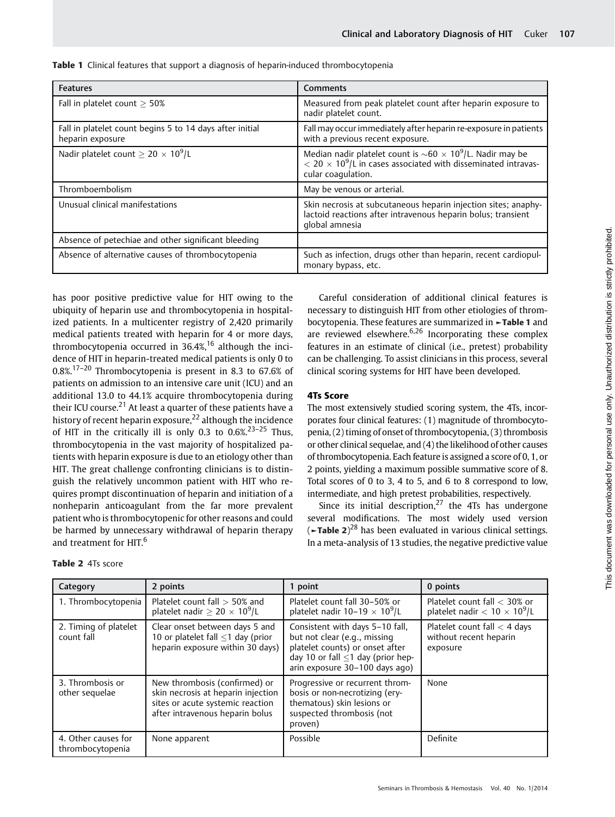| <b>Features</b>                                                              | <b>Comments</b>                                                                                                                                                                   |
|------------------------------------------------------------------------------|-----------------------------------------------------------------------------------------------------------------------------------------------------------------------------------|
| Fall in platelet count $\geq 50\%$                                           | Measured from peak platelet count after heparin exposure to<br>nadir platelet count.                                                                                              |
| Fall in platelet count begins 5 to 14 days after initial<br>heparin exposure | Fall may occur immediately after heparin re-exposure in patients<br>with a previous recent exposure.                                                                              |
| Nadir platelet count $> 20 \times 10^9$ /L                                   | Median nadir platelet count is $\sim 60 \times 10^9$ /L. Nadir may be<br>$<$ 20 $\times$ 10 <sup>9</sup> /L in cases associated with disseminated intravas-<br>cular coaqulation. |
| Thromboembolism                                                              | May be venous or arterial.                                                                                                                                                        |
| Unusual clinical manifestations                                              | Skin necrosis at subcutaneous heparin injection sites; anaphy-<br>lactoid reactions after intravenous heparin bolus; transient<br>global amnesia                                  |
| Absence of petechiae and other significant bleeding                          |                                                                                                                                                                                   |
| Absence of alternative causes of thrombocytopenia                            | Such as infection, drugs other than heparin, recent cardiopul-<br>monary bypass, etc.                                                                                             |

**Table 1** Clinical features that support a diagnosis of heparin-induced thrombocytopenia

has poor positive predictive value for HIT owing to the ubiquity of heparin use and thrombocytopenia in hospitalized patients. In a multicenter registry of 2,420 primarily medical patients treated with heparin for 4 or more days, thrombocytopenia occurred in  $36.4\%$ ,<sup>16</sup> although the incidence of HIT in heparin-treated medical patients is only 0 to 0.8%.17–<sup>20</sup> Thrombocytopenia is present in 8.3 to 67.6% of patients on admission to an intensive care unit (ICU) and an additional 13.0 to 44.1% acquire thrombocytopenia during their ICU course.<sup>21</sup> At least a quarter of these patients have a history of recent heparin exposure,<sup>22</sup> although the incidence of HIT in the critically ill is only 0.3 to  $0.6\%$ <sup>23-25</sup> Thus, thrombocytopenia in the vast majority of hospitalized patients with heparin exposure is due to an etiology other than HIT. The great challenge confronting clinicians is to distinguish the relatively uncommon patient with HIT who requires prompt discontinuation of heparin and initiation of a nonheparin anticoagulant from the far more prevalent patient who is thrombocytopenic for other reasons and could be harmed by unnecessary withdrawal of heparin therapy and treatment for HIT.<sup>6</sup>

Careful consideration of additional clinical features is necessary to distinguish HIT from other etiologies of thrombocytopenia. These features are summarized in ►Table 1 and are reviewed elsewhere. $6,26$  Incorporating these complex features in an estimate of clinical (i.e., pretest) probability can be challenging. To assist clinicians in this process, several clinical scoring systems for HIT have been developed.

# 4Ts Score

The most extensively studied scoring system, the 4Ts, incorporates four clinical features: (1) magnitude of thrombocytopenia, (2) timing of onset of thrombocytopenia, (3) thrombosis or other clinical sequelae, and (4) the likelihood of other causes of thrombocytopenia. Each feature is assigned a score of 0, 1, or 2 points, yielding a maximum possible summative score of 8. Total scores of 0 to 3, 4 to 5, and 6 to 8 correspond to low, intermediate, and high pretest probabilities, respectively.

Since its initial description, $27$  the 4Ts has undergone several modifications. The most widely used version ( $\blacktriangleright$ **Table 2**)<sup>28</sup> has been evaluated in various clinical settings. In a meta-analysis of 13 studies, the negative predictive value

| Category                                | 2 points                                                                                                                                   | 1 point                                                                                                                                                                         | 0 points                                                             |
|-----------------------------------------|--------------------------------------------------------------------------------------------------------------------------------------------|---------------------------------------------------------------------------------------------------------------------------------------------------------------------------------|----------------------------------------------------------------------|
| 1. Thrombocytopenia                     | Platelet count fall $>$ 50% and<br>platelet nadir $\geq 20 \times 10^9$ /L                                                                 | Platelet count fall 30-50% or<br>platelet nadir $10-19 \times 10^9$ /L                                                                                                          | Platelet count fall < 30% or<br>platelet nadir $< 10 \times 10^9$ /L |
| 2. Timing of platelet<br>count fall     | Clear onset between days 5 and<br>10 or platelet fall $\leq$ 1 day (prior<br>heparin exposure within 30 days)                              | Consistent with days 5-10 fall,<br>but not clear (e.g., missing<br>platelet counts) or onset after<br>day 10 or fall $\leq$ 1 day (prior hep-<br>arin exposure 30-100 days ago) | Platelet count fall $<$ 4 days<br>without recent heparin<br>exposure |
| 3. Thrombosis or<br>other sequelae      | New thrombosis (confirmed) or<br>skin necrosis at heparin injection<br>sites or acute systemic reaction<br>after intravenous heparin bolus | Progressive or recurrent throm-<br>bosis or non-necrotizing (ery-<br>thematous) skin lesions or<br>suspected thrombosis (not<br>proven)                                         | None                                                                 |
| 4. Other causes for<br>thrombocytopenia | None apparent                                                                                                                              | Possible                                                                                                                                                                        | Definite                                                             |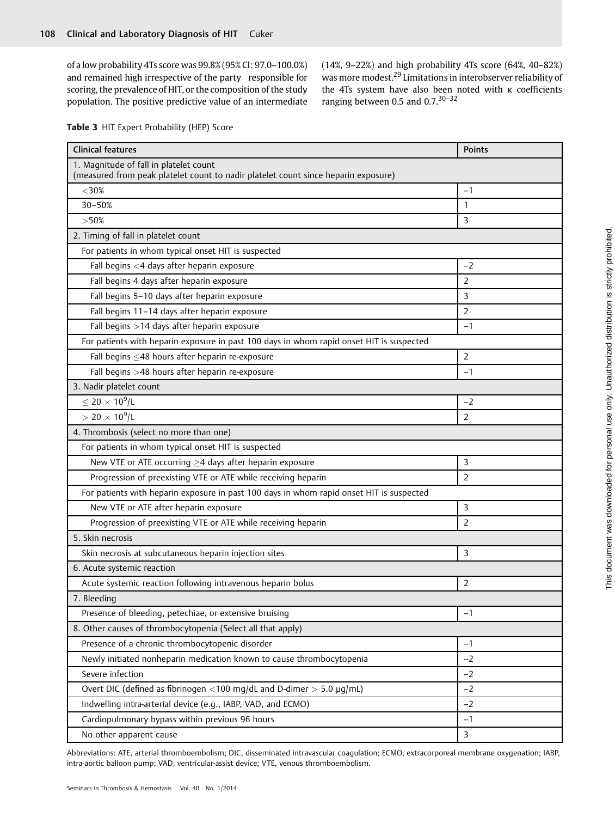of a low probability 4Ts score was 99.8% (95% CI: 97.0–100.0%) and remained high irrespective of the party responsible for scoring, the prevalence of HIT, or the composition of the study population. The positive predictive value of an intermediate

(14%, 9–22%) and high probability 4Ts score (64%, 40–82%) was more modest.<sup>29</sup> Limitations in interobserver reliability of the 4Ts system have also been noted with κ coefficients ranging between 0.5 and  $0.7^{30-32}$ 

|  |  | Table 3 HIT Expert Probability (HEP) Score |  |  |
|--|--|--------------------------------------------|--|--|
|--|--|--------------------------------------------|--|--|

| <b>Clinical features</b>                                                                                                     | <b>Points</b>  |
|------------------------------------------------------------------------------------------------------------------------------|----------------|
| 1. Magnitude of fall in platelet count<br>(measured from peak platelet count to nadir platelet count since heparin exposure) |                |
| $<$ 30%                                                                                                                      | $-1$           |
| 30-50%                                                                                                                       | 1              |
| >50%                                                                                                                         | $\mathbf{3}$   |
| 2. Timing of fall in platelet count                                                                                          |                |
| For patients in whom typical onset HIT is suspected                                                                          |                |
| Fall begins <4 days after heparin exposure                                                                                   | $-2$           |
| Fall begins 4 days after heparin exposure                                                                                    | $\overline{2}$ |
| Fall begins 5-10 days after heparin exposure                                                                                 | 3              |
| Fall begins 11-14 days after heparin exposure                                                                                | 2              |
| Fall begins >14 days after heparin exposure                                                                                  | $-1$           |
| For patients with heparin exposure in past 100 days in whom rapid onset HIT is suspected                                     |                |
| Fall begins <48 hours after heparin re-exposure                                                                              | 2              |
| Fall begins >48 hours after heparin re-exposure                                                                              | $-1$           |
| 3. Nadir platelet count                                                                                                      |                |
| $\leq$ 20 $\times$ 10 <sup>9</sup> /L                                                                                        | $-2$           |
| $> 20 \times 10^9$ /L                                                                                                        | $\overline{2}$ |
| 4. Thrombosis (select no more than one)                                                                                      |                |
| For patients in whom typical onset HIT is suspected                                                                          |                |
| New VTE or ATE occurring $\geq$ 4 days after heparin exposure                                                                | 3              |
| Progression of preexisting VTE or ATE while receiving heparin                                                                | 2              |
| For patients with heparin exposure in past 100 days in whom rapid onset HIT is suspected                                     |                |
| New VTE or ATE after heparin exposure                                                                                        | 3              |
| Progression of preexisting VTE or ATE while receiving heparin                                                                | $\overline{2}$ |
| 5. Skin necrosis                                                                                                             |                |
| Skin necrosis at subcutaneous heparin injection sites                                                                        | 3              |
| 6. Acute systemic reaction                                                                                                   |                |
| Acute systemic reaction following intravenous heparin bolus                                                                  | 2              |
| 7. Bleeding                                                                                                                  |                |
| Presence of bleeding, petechiae, or extensive bruising                                                                       | $-1$           |
| 8. Other causes of thrombocytopenia (Select all that apply)                                                                  |                |
| Presence of a chronic thrombocytopenic disorder                                                                              | $-1$           |
| Newly initiated nonheparin medication known to cause thrombocytopenia                                                        | $-2$           |
| Severe infection                                                                                                             | $-2$           |
| Overt DIC (defined as fibrinogen <100 mg/dL and D-dimer > 5.0 $\mu$ g/mL)                                                    | $-2$           |
| Indwelling intra-arterial device (e.g., IABP, VAD, and ECMO)                                                                 | $-2$           |
| Cardiopulmonary bypass within previous 96 hours                                                                              | $-1$           |
| No other apparent cause                                                                                                      | 3              |

Abbreviations: ATE, arterial thromboembolism; DIC, disseminated intravascular coagulation; ECMO, extracorporeal membrane oxygenation; IABP, intra-aortic balloon pump; VAD, ventricular-assist device; VTE, venous thromboembolism.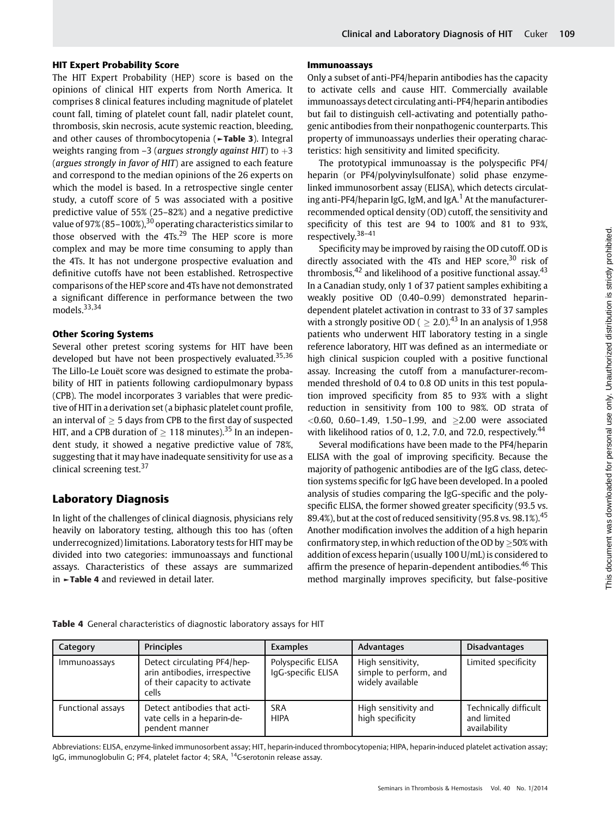### HIT Expert Probability Score

The HIT Expert Probability (HEP) score is based on the opinions of clinical HIT experts from North America. It comprises 8 clinical features including magnitude of platelet count fall, timing of platelet count fall, nadir platelet count, thrombosis, skin necrosis, acute systemic reaction, bleeding, and other causes of thrombocytopenia (►Table 3). Integral weights ranging from  $-3$  (argues strongly against HIT) to  $+3$ (argues strongly in favor of HIT) are assigned to each feature and correspond to the median opinions of the 26 experts on which the model is based. In a retrospective single center study, a cutoff score of 5 was associated with a positive predictive value of 55% (25–82%) and a negative predictive value of  $97\%$  (85–100%),<sup>30</sup> operating characteristics similar to those observed with the 4Ts.<sup>29</sup> The HEP score is more complex and may be more time consuming to apply than the 4Ts. It has not undergone prospective evaluation and definitive cutoffs have not been established. Retrospective comparisons of the HEP score and 4Ts have not demonstrated a significant difference in performance between the two models.<sup>33,34</sup>

### Other Scoring Systems

Several other pretest scoring systems for HIT have been developed but have not been prospectively evaluated.<sup>35,36</sup> The Lillo-Le Louët score was designed to estimate the probability of HIT in patients following cardiopulmonary bypass (CPB). The model incorporates 3 variables that were predictive of HIT in a derivation set (a biphasic platelet count profile, an interval of  $> 5$  days from CPB to the first day of suspected HIT, and a CPB duration of  $\geq 118$  minutes).<sup>35</sup> In an independent study, it showed a negative predictive value of 78%, suggesting that it may have inadequate sensitivity for use as a clinical screening test.<sup>37</sup>

# Laboratory Diagnosis

In light of the challenges of clinical diagnosis, physicians rely heavily on laboratory testing, although this too has (often underrecognized) limitations. Laboratory tests for HIT may be divided into two categories: immunoassays and functional assays. Characteristics of these assays are summarized in ►Table 4 and reviewed in detail later.

## Immunoassays

Only a subset of anti-PF4/heparin antibodies has the capacity to activate cells and cause HIT. Commercially available immunoassays detect circulating anti-PF4/heparin antibodies but fail to distinguish cell-activating and potentially pathogenic antibodies from their nonpathogenic counterparts. This property of immunoassays underlies their operating characteristics: high sensitivity and limited specificity.

The prototypical immunoassay is the polyspecific PF4/ heparin (or PF4/polyvinylsulfonate) solid phase enzymelinked immunosorbent assay (ELISA), which detects circulating anti-PF4/heparin IgG, IgM, and IgA.<sup>1</sup> At the manufacturerrecommended optical density (OD) cutoff, the sensitivity and specificity of this test are 94 to 100% and 81 to 93%, respectively.38–<sup>41</sup>

Specificity may be improved by raising the OD cutoff. OD is directly associated with the 4Ts and HEP score, $30$  risk of thrombosis, $42$  and likelihood of a positive functional assay. $43$ In a Canadian study, only 1 of 37 patient samples exhibiting a weakly positive OD (0.40–0.99) demonstrated heparindependent platelet activation in contrast to 33 of 37 samples with a strongly positive OD (  $\geq 2.0$ ).<sup>43</sup> In an analysis of 1,958 patients who underwent HIT laboratory testing in a single reference laboratory, HIT was defined as an intermediate or high clinical suspicion coupled with a positive functional assay. Increasing the cutoff from a manufacturer-recommended threshold of 0.4 to 0.8 OD units in this test population improved specificity from 85 to 93% with a slight reduction in sensitivity from 100 to 98%. OD strata of  $<$ 0.60, 0.60-1.49, 1.50-1.99, and  $\geq$ 2.00 were associated with likelihood ratios of 0, 1.2, 7.0, and 72.0, respectively. $44$ 

Several modifications have been made to the PF4/heparin ELISA with the goal of improving specificity. Because the majority of pathogenic antibodies are of the IgG class, detection systems specific for IgG have been developed. In a pooled analysis of studies comparing the IgG-specific and the polyspecific ELISA, the former showed greater specificity (93.5 vs. 89.4%), but at the cost of reduced sensitivity (95.8 vs. 98.1%). $45$ Another modification involves the addition of a high heparin confirmatory step, in which reduction of the OD by  $>50\%$  with addition of excess heparin (usually 100 U/mL) is considered to affirm the presence of heparin-dependent antibodies.<sup>46</sup> This method marginally improves specificity, but false-positive

|  | Table 4 General characteristics of diagnostic laboratory assays for HIT |  |  |  |
|--|-------------------------------------------------------------------------|--|--|--|
|  |                                                                         |  |  |  |

| Category          | <b>Principles</b>                                                                                      | <b>Examples</b>                          | Advantages                                                      | <b>Disadvantages</b>                                 |
|-------------------|--------------------------------------------------------------------------------------------------------|------------------------------------------|-----------------------------------------------------------------|------------------------------------------------------|
| Immunoassays      | Detect circulating PF4/hep-<br>arin antibodies, irrespective<br>of their capacity to activate<br>cells | Polyspecific ELISA<br>IqG-specific ELISA | High sensitivity,<br>simple to perform, and<br>widely available | Limited specificity                                  |
| Functional assays | Detect antibodies that acti-<br>vate cells in a heparin-de-<br>pendent manner                          | <b>SRA</b><br><b>HIPA</b>                | High sensitivity and<br>high specificity                        | Technically difficult<br>and limited<br>availability |

Abbreviations: ELISA, enzyme-linked immunosorbent assay; HIT, heparin-induced thrombocytopenia; HIPA, heparin-induced platelet activation assay; IgG, immunoglobulin G; PF4, platelet factor 4; SRA, <sup>14</sup>C-serotonin release assay.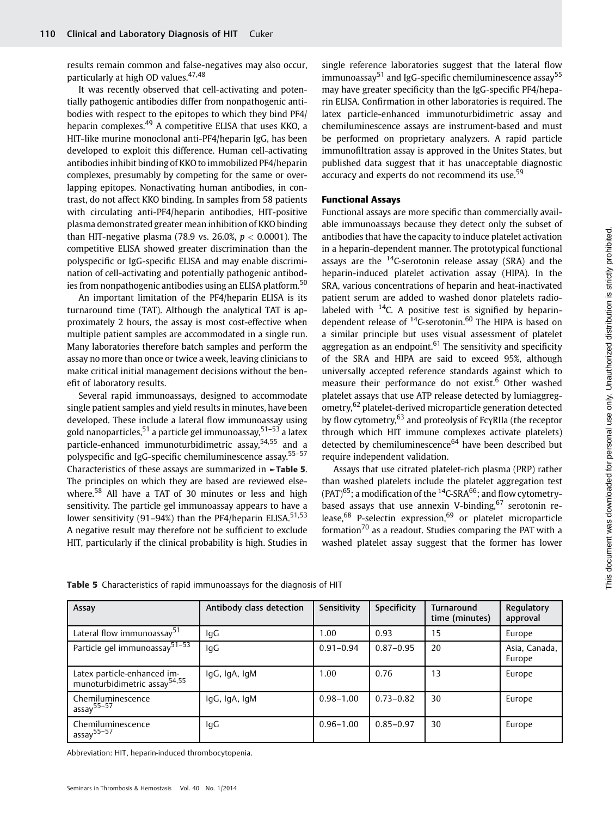results remain common and false-negatives may also occur, particularly at high OD values.47,48

It was recently observed that cell-activating and potentially pathogenic antibodies differ from nonpathogenic antibodies with respect to the epitopes to which they bind PF4/ heparin complexes.<sup>49</sup> A competitive ELISA that uses KKO, a HIT-like murine monoclonal anti-PF4/heparin IgG, has been developed to exploit this difference. Human cell-activating antibodies inhibit binding of KKO to immobilized PF4/heparin complexes, presumably by competing for the same or overlapping epitopes. Nonactivating human antibodies, in contrast, do not affect KKO binding. In samples from 58 patients with circulating anti-PF4/heparin antibodies, HIT-positive plasma demonstrated greater mean inhibition of KKO binding than HIT-negative plasma (78.9 vs. 26.0%,  $p < 0.0001$ ). The competitive ELISA showed greater discrimination than the polyspecific or IgG-specific ELISA and may enable discrimination of cell-activating and potentially pathogenic antibodies from nonpathogenic antibodies using an ELISA platform.<sup>50</sup>

An important limitation of the PF4/heparin ELISA is its turnaround time (TAT). Although the analytical TAT is approximately 2 hours, the assay is most cost-effective when multiple patient samples are accommodated in a single run. Many laboratories therefore batch samples and perform the assay no more than once or twice a week, leaving clinicians to make critical initial management decisions without the benefit of laboratory results.

Several rapid immunoassays, designed to accommodate single patient samples and yield results in minutes, have been developed. These include a lateral flow immunoassay using gold nanoparticles,<sup>51</sup> a particle gel immunoassay,<sup>51–53</sup> a latex particle-enhanced immunoturbidimetric assay,<sup>54,55</sup> and a polyspecific and IgG-specific chemiluminescence assay.55–<sup>57</sup> Characteristics of these assays are summarized in ►Table 5. The principles on which they are based are reviewed elsewhere.<sup>58</sup> All have a TAT of 30 minutes or less and high sensitivity. The particle gel immunoassay appears to have a lower sensitivity (91–94%) than the PF4/heparin ELISA.<sup>51,53</sup> A negative result may therefore not be sufficient to exclude HIT, particularly if the clinical probability is high. Studies in

single reference laboratories suggest that the lateral flow immunoassay<sup>51</sup> and IgG-specific chemiluminescence assay<sup>55</sup> may have greater specificity than the IgG-specific PF4/heparin ELISA. Confirmation in other laboratories is required. The latex particle-enhanced immunoturbidimetric assay and chemiluminescence assays are instrument-based and must be performed on proprietary analyzers. A rapid particle immunofiltration assay is approved in the Unites States, but published data suggest that it has unacceptable diagnostic accuracy and experts do not recommend its use.<sup>59</sup>

### Functional Assays

Functional assays are more specific than commercially available immunoassays because they detect only the subset of antibodies that have the capacity to induce platelet activation in a heparin-dependent manner. The prototypical functional assays are the  $14C$ -serotonin release assay (SRA) and the heparin-induced platelet activation assay (HIPA). In the SRA, various concentrations of heparin and heat-inactivated patient serum are added to washed donor platelets radiolabeled with  $14C$ . A positive test is signified by heparindependent release of  $14C$ -serotonin.<sup>60</sup> The HIPA is based on a similar principle but uses visual assessment of platelet aggregation as an endpoint.<sup>61</sup> The sensitivity and specificity of the SRA and HIPA are said to exceed 95%, although universally accepted reference standards against which to measure their performance do not exist.<sup>6</sup> Other washed platelet assays that use ATP release detected by lumiaggregometry,<sup>62</sup> platelet-derived microparticle generation detected by flow cytometry,<sup>63</sup> and proteolysis of FcγRIIa (the receptor through which HIT immune complexes activate platelets) detected by chemiluminescence $64$  have been described but require independent validation.

Assays that use citrated platelet-rich plasma (PRP) rather than washed platelets include the platelet aggregation test  $(PATH)^{65}$ ; a modification of the <sup>14</sup>C-SRA<sup>66</sup>; and flow cytometrybased assays that use annexin V-binding,  $67$  serotonin release,<sup>68</sup> P-selectin expression,<sup>69</sup> or platelet microparticle formation<sup>70</sup> as a readout. Studies comparing the PAT with a washed platelet assay suggest that the former has lower

| Assay                                                                   | Antibody class detection | Sensitivity   | Specificity   | <b>Turnaround</b><br>time (minutes) | Regulatory<br>approval  |
|-------------------------------------------------------------------------|--------------------------|---------------|---------------|-------------------------------------|-------------------------|
| Lateral flow immunoassay <sup>51</sup>                                  | lgG                      | 1.00          | 0.93          | 15                                  | Europe                  |
| Particle gel immunoassay <sup>51-53</sup>                               | lgG                      | $0.91 - 0.94$ | $0.87 - 0.95$ | 20                                  | Asia, Canada,<br>Europe |
| Latex particle-enhanced im-<br>munoturbidimetric assay <sup>54,55</sup> | IgG, IgA, IgM            | 1.00          | 0.76          | 13                                  | Europe                  |
| Chemiluminescence<br>assay $55-57$                                      | IgG, IgA, IgM            | $0.98 - 1.00$ | $0.73 - 0.82$ | 30                                  | Europe                  |
| Chemiluminescence<br>assay $55-57$                                      | lgG                      | $0.96 - 1.00$ | $0.85 - 0.97$ | 30                                  | Europe                  |

Table 5 Characteristics of rapid immunoassays for the diagnosis of HIT

Abbreviation: HIT, heparin-induced thrombocytopenia.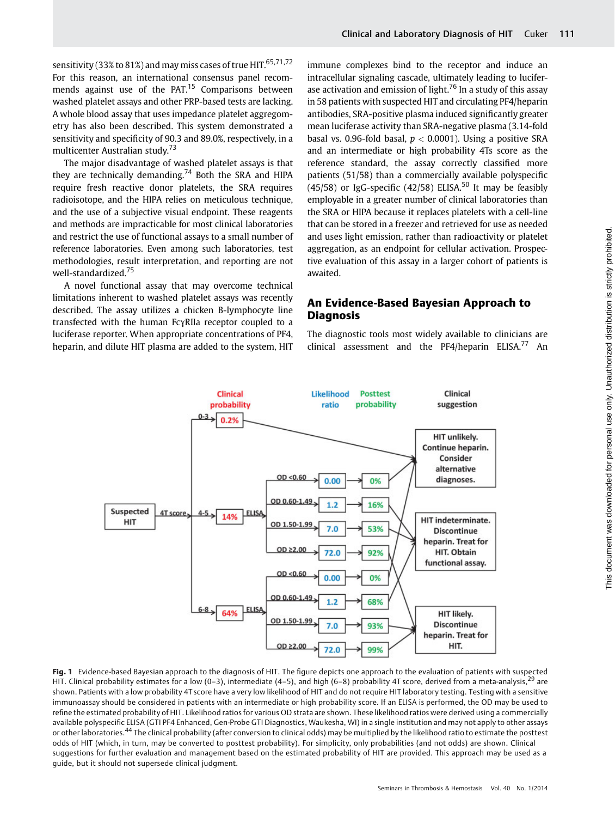sensitivity (33% to 81%) and may miss cases of true HIT.  $65,71,72$ For this reason, an international consensus panel recommends against use of the PAT. $15$  Comparisons between washed platelet assays and other PRP-based tests are lacking. A whole blood assay that uses impedance platelet aggregometry has also been described. This system demonstrated a sensitivity and specificity of 90.3 and 89.0%, respectively, in a multicenter Australian study.<sup>73</sup>

The major disadvantage of washed platelet assays is that they are technically demanding.<sup>74</sup> Both the SRA and HIPA require fresh reactive donor platelets, the SRA requires radioisotope, and the HIPA relies on meticulous technique, and the use of a subjective visual endpoint. These reagents and methods are impracticable for most clinical laboratories and restrict the use of functional assays to a small number of reference laboratories. Even among such laboratories, test methodologies, result interpretation, and reporting are not well-standardized.<sup>75</sup>

A novel functional assay that may overcome technical limitations inherent to washed platelet assays was recently described. The assay utilizes a chicken B-lymphocyte line transfected with the human FcγRIIa receptor coupled to a luciferase reporter. When appropriate concentrations of PF4, heparin, and dilute HIT plasma are added to the system, HIT immune complexes bind to the receptor and induce an intracellular signaling cascade, ultimately leading to luciferase activation and emission of light.<sup>76</sup> In a study of this assay in 58 patients with suspected HIT and circulating PF4/heparin antibodies, SRA-positive plasma induced significantly greater mean luciferase activity than SRA-negative plasma (3.14-fold basal vs. 0.96-fold basal,  $p < 0.0001$ ). Using a positive SRA and an intermediate or high probability 4Ts score as the reference standard, the assay correctly classified more patients (51/58) than a commercially available polyspecific  $(45/58)$  or IgG-specific (42/58) ELISA.<sup>50</sup> It may be feasibly employable in a greater number of clinical laboratories than the SRA or HIPA because it replaces platelets with a cell-line that can be stored in a freezer and retrieved for use as needed and uses light emission, rather than radioactivity or platelet aggregation, as an endpoint for cellular activation. Prospective evaluation of this assay in a larger cohort of patients is awaited.

# An Evidence-Based Bayesian Approach to **Diagnosis**

The diagnostic tools most widely available to clinicians are clinical assessment and the  $PF4/h$ eparin ELISA.<sup>77</sup> An



Fig. 1 Evidence-based Bayesian approach to the diagnosis of HIT. The figure depicts one approach to the evaluation of patients with suspected HIT. Clinical probability estimates for a low (0–3), intermediate (4–5), and high (6–8) probability 4T score, derived from a meta-analysis,<sup>29</sup> are shown. Patients with a low probability 4T score have a very low likelihood of HIT and do not require HIT laboratory testing. Testing with a sensitive immunoassay should be considered in patients with an intermediate or high probability score. If an ELISA is performed, the OD may be used to refine the estimated probability of HIT. Likelihood ratios for various OD strata are shown. These likelihood ratios were derived using a commercially available polyspecific ELISA (GTI PF4 Enhanced, Gen-Probe GTI Diagnostics, Waukesha, WI) in a single institution and may not apply to other assays or other laboratories.<sup>44</sup> The clinical probability (after conversion to clinical odds) may be multiplied by the likelihood ratio to estimate the posttest odds of HIT (which, in turn, may be converted to posttest probability). For simplicity, only probabilities (and not odds) are shown. Clinical suggestions for further evaluation and management based on the estimated probability of HIT are provided. This approach may be used as a guide, but it should not supersede clinical judgment.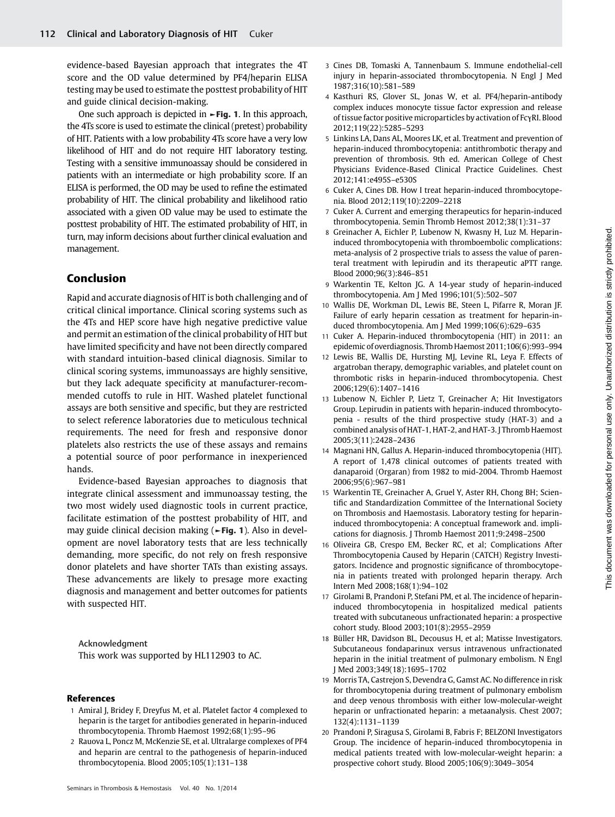evidence-based Bayesian approach that integrates the 4T score and the OD value determined by PF4/heparin ELISA testing may be used to estimate the posttest probability of HIT and guide clinical decision-making.

One such approach is depicted in  $\blacktriangleright$  Fig. 1. In this approach, the 4Ts score is used to estimate the clinical (pretest) probability of HIT. Patients with a low probability 4Ts score have a very low likelihood of HIT and do not require HIT laboratory testing. Testing with a sensitive immunoassay should be considered in patients with an intermediate or high probability score. If an ELISA is performed, the OD may be used to refine the estimated probability of HIT. The clinical probability and likelihood ratio associated with a given OD value may be used to estimate the posttest probability of HIT. The estimated probability of HIT, in turn, may inform decisions about further clinical evaluation and management.

# Conclusion

Rapid and accurate diagnosis of HIT is both challenging and of critical clinical importance. Clinical scoring systems such as the 4Ts and HEP score have high negative predictive value and permit an estimation of the clinical probability of HIT but have limited specificity and have not been directly compared with standard intuition-based clinical diagnosis. Similar to clinical scoring systems, immunoassays are highly sensitive, but they lack adequate specificity at manufacturer-recommended cutoffs to rule in HIT. Washed platelet functional assays are both sensitive and specific, but they are restricted to select reference laboratories due to meticulous technical requirements. The need for fresh and responsive donor platelets also restricts the use of these assays and remains a potential source of poor performance in inexperienced hands.

Evidence-based Bayesian approaches to diagnosis that integrate clinical assessment and immunoassay testing, the two most widely used diagnostic tools in current practice, facilitate estimation of the posttest probability of HIT, and may guide clinical decision making (►Fig. 1). Also in development are novel laboratory tests that are less technically demanding, more specific, do not rely on fresh responsive donor platelets and have shorter TATs than existing assays. These advancements are likely to presage more exacting diagnosis and management and better outcomes for patients with suspected HIT.

Acknowledgment This work was supported by HL112903 to AC.

#### References

- 1 Amiral J, Bridey F, Dreyfus M, et al. Platelet factor 4 complexed to heparin is the target for antibodies generated in heparin-induced thrombocytopenia. Thromb Haemost 1992;68(1):95–96
- 2 Rauova L, Poncz M, McKenzie SE, et al. Ultralarge complexes of PF4 and heparin are central to the pathogenesis of heparin-induced thrombocytopenia. Blood 2005;105(1):131–138
- 3 Cines DB, Tomaski A, Tannenbaum S. Immune endothelial-cell injury in heparin-associated thrombocytopenia. N Engl J Med 1987;316(10):581–589
- 4 Kasthuri RS, Glover SL, Jonas W, et al. PF4/heparin-antibody complex induces monocyte tissue factor expression and release of tissue factor positive microparticles by activation of FcγRI. Blood 2012;119(22):5285–5293
- 5 Linkins LA, Dans AL, Moores LK, et al. Treatment and prevention of heparin-induced thrombocytopenia: antithrombotic therapy and prevention of thrombosis. 9th ed. American College of Chest Physicians Evidence-Based Clinical Practice Guidelines. Chest 2012;141:e495S–e530S
- 6 Cuker A, Cines DB. How I treat heparin-induced thrombocytopenia. Blood 2012;119(10):2209–2218
- 7 Cuker A. Current and emerging therapeutics for heparin-induced thrombocytopenia. Semin Thromb Hemost 2012;38(1):31–37
- 8 Greinacher A, Eichler P, Lubenow N, Kwasny H, Luz M. Heparininduced thrombocytopenia with thromboembolic complications: meta-analysis of 2 prospective trials to assess the value of parenteral treatment with lepirudin and its therapeutic aPTT range. Blood 2000;96(3):846–851
- 9 Warkentin TE, Kelton JG. A 14-year study of heparin-induced thrombocytopenia. Am J Med 1996;101(5):502–507
- 10 Wallis DE, Workman DL, Lewis BE, Steen L, Pifarre R, Moran JF. Failure of early heparin cessation as treatment for heparin-induced thrombocytopenia. Am J Med 1999;106(6):629–635
- 11 Cuker A. Heparin-induced thrombocytopenia (HIT) in 2011: an epidemic of overdiagnosis. Thromb Haemost 2011;106(6):993–994
- 12 Lewis BE, Wallis DE, Hursting MJ, Levine RL, Leya F. Effects of argatroban therapy, demographic variables, and platelet count on thrombotic risks in heparin-induced thrombocytopenia. Chest 2006;129(6):1407–1416
- 13 Lubenow N, Eichler P, Lietz T, Greinacher A; Hit Investigators Group. Lepirudin in patients with heparin-induced thrombocytopenia - results of the third prospective study (HAT-3) and a combined analysis of HAT-1, HAT-2, and HAT-3. J Thromb Haemost 2005;3(11):2428–2436
- 14 Magnani HN, Gallus A. Heparin-induced thrombocytopenia (HIT). A report of 1,478 clinical outcomes of patients treated with danaparoid (Orgaran) from 1982 to mid-2004. Thromb Haemost 2006;95(6):967–981
- 15 Warkentin TE, Greinacher A, Gruel Y, Aster RH, Chong BH; Scientific and Standardization Committee of the International Society on Thrombosis and Haemostasis. Laboratory testing for heparininduced thrombocytopenia: A conceptual framework and. implications for diagnosis. J Thromb Haemost 2011;9:2498–2500
- 16 Oliveira GB, Crespo EM, Becker RC, et al; Complications After Thrombocytopenia Caused by Heparin (CATCH) Registry Investigators. Incidence and prognostic significance of thrombocytopenia in patients treated with prolonged heparin therapy. Arch Intern Med 2008;168(1):94–102
- 17 Girolami B, Prandoni P, Stefani PM, et al. The incidence of heparininduced thrombocytopenia in hospitalized medical patients treated with subcutaneous unfractionated heparin: a prospective cohort study. Blood 2003;101(8):2955–2959
- 18 Büller HR, Davidson BL, Decousus H, et al; Matisse Investigators. Subcutaneous fondaparinux versus intravenous unfractionated heparin in the initial treatment of pulmonary embolism. N Engl J Med 2003;349(18):1695–1702
- 19 Morris TA, Castrejon S, Devendra G, Gamst AC. No difference in risk for thrombocytopenia during treatment of pulmonary embolism and deep venous thrombosis with either low-molecular-weight heparin or unfractionated heparin: a metaanalysis. Chest 2007; 132(4):1131–1139
- 20 Prandoni P, Siragusa S, Girolami B, Fabris F; BELZONI Investigators Group. The incidence of heparin-induced thrombocytopenia in medical patients treated with low-molecular-weight heparin: a prospective cohort study. Blood 2005;106(9):3049–3054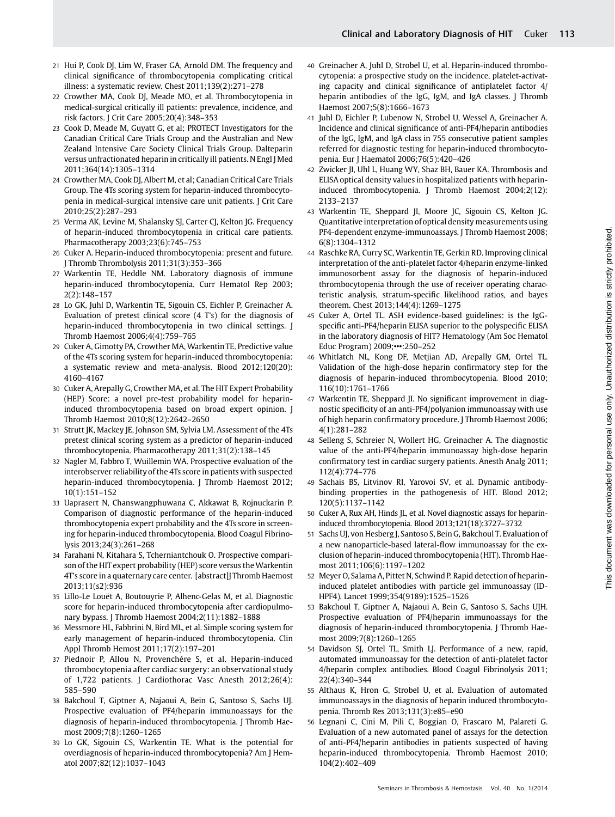- 21 Hui P, Cook DJ, Lim W, Fraser GA, Arnold DM. The frequency and clinical significance of thrombocytopenia complicating critical
- illness: a systematic review. Chest 2011;139(2):271–278 22 Crowther MA, Cook DJ, Meade MO, et al. Thrombocytopenia in medical-surgical critically ill patients: prevalence, incidence, and risk factors. J Crit Care 2005;20(4):348–353
- 23 Cook D, Meade M, Guyatt G, et al; PROTECT Investigators for the Canadian Critical Care Trials Group and the Australian and New Zealand Intensive Care Society Clinical Trials Group. Dalteparin versus unfractionated heparin in critically ill patients. N Engl J Med 2011;364(14):1305–1314
- 24 Crowther MA, Cook DJ, Albert M, et al; Canadian Critical Care Trials Group. The 4Ts scoring system for heparin-induced thrombocytopenia in medical-surgical intensive care unit patients. J Crit Care 2010;25(2):287–293
- 25 Verma AK, Levine M, Shalansky SJ, Carter CJ, Kelton JG. Frequency of heparin-induced thrombocytopenia in critical care patients. Pharmacotherapy 2003;23(6):745–753
- 26 Cuker A. Heparin-induced thrombocytopenia: present and future. J Thromb Thrombolysis 2011;31(3):353–366
- 27 Warkentin TE, Heddle NM. Laboratory diagnosis of immune heparin-induced thrombocytopenia. Curr Hematol Rep 2003; 2(2):148–157
- 28 Lo GK, Juhl D, Warkentin TE, Sigouin CS, Eichler P, Greinacher A. Evaluation of pretest clinical score (4 T's) for the diagnosis of heparin-induced thrombocytopenia in two clinical settings. J Thromb Haemost 2006;4(4):759–765
- 29 Cuker A, Gimotty PA, Crowther MA, Warkentin TE. Predictive value of the 4Ts scoring system for heparin-induced thrombocytopenia: a systematic review and meta-analysis. Blood 2012;120(20): 4160–4167
- 30 Cuker A, Arepally G, Crowther MA, et al. The HIT Expert Probability (HEP) Score: a novel pre-test probability model for heparininduced thrombocytopenia based on broad expert opinion. J Thromb Haemost 2010;8(12):2642–2650
- 31 Strutt JK, Mackey JE, Johnson SM, Sylvia LM. Assessment of the 4Ts pretest clinical scoring system as a predictor of heparin-induced thrombocytopenia. Pharmacotherapy 2011;31(2):138–145
- 32 Nagler M, Fabbro T, Wuillemin WA. Prospective evaluation of the interobserver reliability of the 4Ts score in patients with suspected heparin-induced thrombocytopenia. J Thromb Haemost 2012; 10(1):151–152
- 33 Uaprasert N, Chanswangphuwana C, Akkawat B, Rojnuckarin P. Comparison of diagnostic performance of the heparin-induced thrombocytopenia expert probability and the 4Ts score in screening for heparin-induced thrombocytopenia. Blood Coagul Fibrinolysis 2013;24(3):261–268
- 34 Farahani N, Kitahara S, Tcherniantchouk O. Prospective comparison of the HIT expert probability (HEP) score versus the Warkentin 4T's score in a quaternary care center. [abstract]J Thromb Haemost 2013;11(s2):936
- 35 Lillo-Le Louët A, Boutouyrie P, Alhenc-Gelas M, et al. Diagnostic score for heparin-induced thrombocytopenia after cardiopulmonary bypass. J Thromb Haemost 2004;2(11):1882–1888
- 36 Messmore HL, Fabbrini N, Bird ML, et al. Simple scoring system for early management of heparin-induced thrombocytopenia. Clin Appl Thromb Hemost 2011;17(2):197–201
- 37 Piednoir P, Allou N, Provenchère S, et al. Heparin-induced thrombocytopenia after cardiac surgery: an observational study of 1,722 patients. J Cardiothorac Vasc Anesth 2012;26(4): 585–590
- 38 Bakchoul T, Giptner A, Najaoui A, Bein G, Santoso S, Sachs UJ. Prospective evaluation of PF4/heparin immunoassays for the diagnosis of heparin-induced thrombocytopenia. J Thromb Haemost 2009;7(8):1260–1265
- 39 Lo GK, Sigouin CS, Warkentin TE. What is the potential for overdiagnosis of heparin-induced thrombocytopenia? Am J Hematol 2007;82(12):1037–1043
- 40 Greinacher A, Juhl D, Strobel U, et al. Heparin-induced thrombocytopenia: a prospective study on the incidence, platelet-activating capacity and clinical significance of antiplatelet factor 4/ heparin antibodies of the IgG, IgM, and IgA classes. J Thromb Haemost 2007;5(8):1666–1673
- 41 Juhl D, Eichler P, Lubenow N, Strobel U, Wessel A, Greinacher A. Incidence and clinical significance of anti-PF4/heparin antibodies of the IgG, IgM, and IgA class in 755 consecutive patient samples referred for diagnostic testing for heparin-induced thrombocytopenia. Eur J Haematol 2006;76(5):420–426
- 42 Zwicker JI, Uhl L, Huang WY, Shaz BH, Bauer KA. Thrombosis and ELISA optical density values in hospitalized patients with heparininduced thrombocytopenia. J Thromb Haemost 2004;2(12): 2133–2137
- 43 Warkentin TE, Sheppard JI, Moore JC, Sigouin CS, Kelton JG. Quantitative interpretation of optical density measurements using PF4-dependent enzyme-immunoassays. J Thromb Haemost 2008; 6(8):1304–1312
- 44 Raschke RA, Curry SC, Warkentin TE, Gerkin RD. Improving clinical interpretation of the anti-platelet factor 4/heparin enzyme-linked immunosorbent assay for the diagnosis of heparin-induced thrombocytopenia through the use of receiver operating characteristic analysis, stratum-specific likelihood ratios, and bayes theorem. Chest 2013;144(4):1269–1275
- 45 Cuker A, Ortel TL. ASH evidence-based guidelines: is the IgGspecific anti-PF4/heparin ELISA superior to the polyspecific ELISA in the laboratory diagnosis of HIT? Hematology (Am Soc Hematol Educ Program) 2009;•••:250–252
- 46 Whitlatch NL, Kong DF, Metjian AD, Arepally GM, Ortel TL. Validation of the high-dose heparin confirmatory step for the diagnosis of heparin-induced thrombocytopenia. Blood 2010; 116(10):1761–1766
- 47 Warkentin TE, Sheppard JI. No significant improvement in diagnostic specificity of an anti-PF4/polyanion immunoassay with use of high heparin confirmatory procedure. J Thromb Haemost 2006; 4(1):281–282
- 48 Selleng S, Schreier N, Wollert HG, Greinacher A. The diagnostic value of the anti-PF4/heparin immunoassay high-dose heparin confirmatory test in cardiac surgery patients. Anesth Analg 2011; 112(4):774–776
- 49 Sachais BS, Litvinov RI, Yarovoi SV, et al. Dynamic antibodybinding properties in the pathogenesis of HIT. Blood 2012; 120(5):1137–1142
- 50 Cuker A, Rux AH, Hinds JL, et al. Novel diagnostic assays for heparininduced thrombocytopenia. Blood 2013;121(18):3727–3732
- 51 Sachs UJ, von Hesberg J, Santoso S, Bein G, Bakchoul T. Evaluation of a new nanoparticle-based lateral-flow immunoassay for the exclusion of heparin-induced thrombocytopenia (HIT). Thromb Haemost 2011;106(6):1197–1202
- 52 Meyer O, Salama A, Pittet N, Schwind P. Rapid detection of heparininduced platelet antibodies with particle gel immunoassay (ID-HPF4). Lancet 1999;354(9189):1525–1526
- 53 Bakchoul T, Giptner A, Najaoui A, Bein G, Santoso S, Sachs UJH. Prospective evaluation of PF4/heparin immunoassays for the diagnosis of heparin-induced thrombocytopenia. J Thromb Haemost 2009;7(8):1260–1265
- 54 Davidson SJ, Ortel TL, Smith LJ. Performance of a new, rapid, automated immunoassay for the detection of anti-platelet factor 4/heparin complex antibodies. Blood Coagul Fibrinolysis 2011; 22(4):340–344
- 55 Althaus K, Hron G, Strobel U, et al. Evaluation of automated immunoassays in the diagnosis of heparin induced thrombocytopenia. Thromb Res 2013;131(3):e85–e90
- 56 Legnani C, Cini M, Pili C, Boggian O, Frascaro M, Palareti G. Evaluation of a new automated panel of assays for the detection of anti-PF4/heparin antibodies in patients suspected of having heparin-induced thrombocytopenia. Thromb Haemost 2010; 104(2):402–409